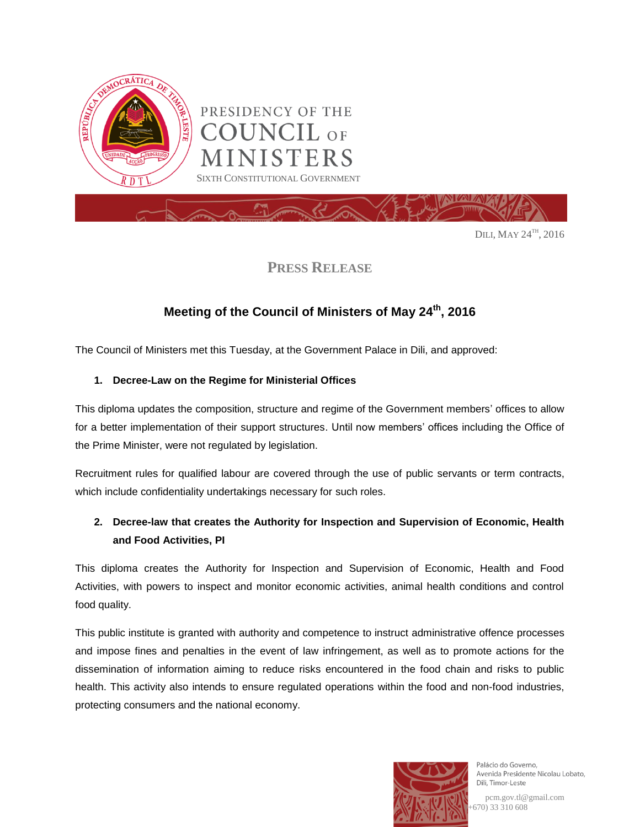

PRESIDENCY OF THE **DUNCIL** OF **STERS** SIXTH CONSTITUTIONAL GOVERNMENT

Dili, May  $24^{\text{th}}$ , 2016

# **PRESS RELEASE**

# **Meeting of the Council of Ministers of May 24th , 2016**

The Council of Ministers met this Tuesday, at the Government Palace in Dili, and approved:

### **1. Decree-Law on the Regime for Ministerial Offices**

This diploma updates the composition, structure and regime of the Government members' offices to allow for a better implementation of their support structures. Until now members' offices including the Office of the Prime Minister, were not regulated by legislation.

Recruitment rules for qualified labour are covered through the use of public servants or term contracts, which include confidentiality undertakings necessary for such roles.

# **2. Decree-law that creates the Authority for Inspection and Supervision of Economic, Health and Food Activities, PI**

This diploma creates the Authority for Inspection and Supervision of Economic, Health and Food Activities, with powers to inspect and monitor economic activities, animal health conditions and control food quality.

This public institute is granted with authority and competence to instruct administrative offence processes and impose fines and penalties in the event of law infringement, as well as to promote actions for the dissemination of information aiming to reduce risks encountered in the food chain and risks to public health. This activity also intends to ensure regulated operations within the food and non-food industries, protecting consumers and the national economy.



Palácio do Governo. Avenida Presidente Nicolau Lobato, Dili, Timor-Leste

pcm.gov.tl@gmail.com (+670) 33 310 608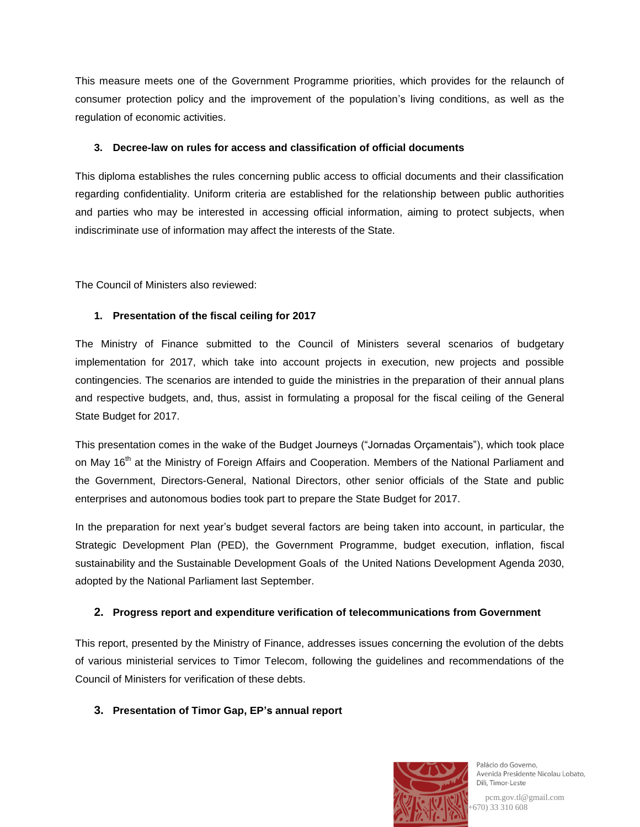This measure meets one of the Government Programme priorities, which provides for the relaunch of consumer protection policy and the improvement of the population's living conditions, as well as the regulation of economic activities.

#### **3. Decree-law on rules for access and classification of official documents**

This diploma establishes the rules concerning public access to official documents and their classification regarding confidentiality. Uniform criteria are established for the relationship between public authorities and parties who may be interested in accessing official information, aiming to protect subjects, when indiscriminate use of information may affect the interests of the State.

The Council of Ministers also reviewed:

## **1. Presentation of the fiscal ceiling for 2017**

The Ministry of Finance submitted to the Council of Ministers several scenarios of budgetary implementation for 2017, which take into account projects in execution, new projects and possible contingencies. The scenarios are intended to guide the ministries in the preparation of their annual plans and respective budgets, and, thus, assist in formulating a proposal for the fiscal ceiling of the General State Budget for 2017.

This presentation comes in the wake of the Budget Journeys ("Jornadas Orçamentais"), which took place on May 16<sup>th</sup> at the Ministry of Foreign Affairs and Cooperation. Members of the National Parliament and the Government, Directors-General, National Directors, other senior officials of the State and public enterprises and autonomous bodies took part to prepare the State Budget for 2017.

In the preparation for next year's budget several factors are being taken into account, in particular, the Strategic Development Plan (PED), the Government Programme, budget execution, inflation, fiscal sustainability and the Sustainable Development Goals of the United Nations Development Agenda 2030, adopted by the National Parliament last September.

### **2. Progress report and expenditure verification of telecommunications from Government**

This report, presented by the Ministry of Finance, addresses issues concerning the evolution of the debts of various ministerial services to Timor Telecom, following the guidelines and recommendations of the Council of Ministers for verification of these debts.

### **3. Presentation of Timor Gap, EP's annual report**



Palácio do Governo. Avenida Presidente Nicolau Lobato, Dili, Timor-Leste